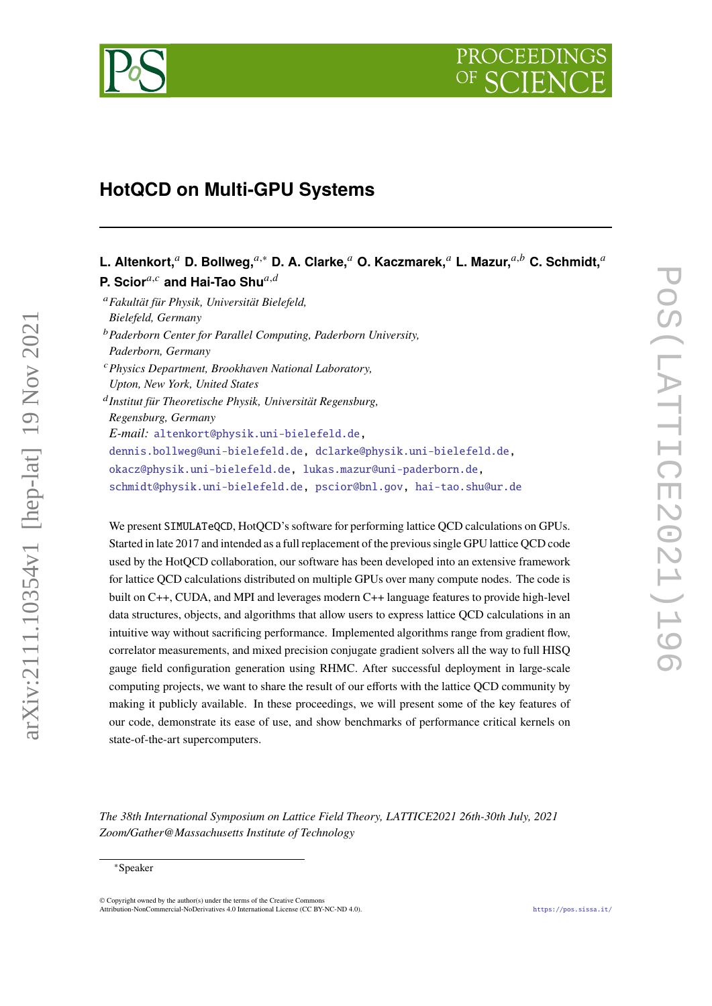

# **HotQCD on Multi-GPU Systems**

# L. Altenkort,<sup>*a*</sup> D. Bollweg,<sup>*a*,∗</sup> D. A. Clarke,<sup>*a*</sup> O. Kaczmarek,<sup>*a*</sup> L. Mazur,<sup>*a,b*</sup> C. Schmidt,<sup>*a*</sup> **P. Scior**<sup>a,c</sup> and Hai-Tao Shu<sup>a,d</sup>

*Fakultät für Physik, Universität Bielefeld, Bielefeld, Germany Paderborn Center for Parallel Computing, Paderborn University, Paderborn, Germany Physics Department, Brookhaven National Laboratory, Upton, New York, United States Institut für Theoretische Physik, Universität Regensburg, Regensburg, Germany E-mail:* [altenkort@physik.uni-bielefeld.de,](mailto:altenkort@physik.uni-bielefeld.de) [dennis.bollweg@uni-bielefeld.de,](mailto:dennis.bollweg@uni-bielefeld.de) [dclarke@physik.uni-bielefeld.de,](mailto:dclarke@physik.uni-bielefeld.de) [okacz@physik.uni-bielefeld.de,](mailto:okacz@physik.uni-bielefeld.de) [lukas.mazur@uni-paderborn.de,](mailto:lukas.mazur@uni-paderborn.de) [schmidt@physik.uni-bielefeld.de,](mailto:schmidt@physik.uni-bielefeld.de) [pscior@bnl.gov,](mailto:pscior@bnl.gov) [hai-tao.shu@ur.de](mailto:hai-tao.shu@ur.de)

We present SIMULATeQCD, HotQCD's software for performing lattice QCD calculations on GPUs. Started in late 2017 and intended as a full replacement of the previous single GPU lattice QCD code used by the HotQCD collaboration, our software has been developed into an extensive framework for lattice QCD calculations distributed on multiple GPUs over many compute nodes. The code is built on C++, CUDA, and MPI and leverages modern C++ language features to provide high-level data structures, objects, and algorithms that allow users to express lattice QCD calculations in an intuitive way without sacrificing performance. Implemented algorithms range from gradient flow, correlator measurements, and mixed precision conjugate gradient solvers all the way to full HISQ gauge field configuration generation using RHMC. After successful deployment in large-scale computing projects, we want to share the result of our efforts with the lattice QCD community by making it publicly available. In these proceedings, we will present some of the key features of our code, demonstrate its ease of use, and show benchmarks of performance critical kernels on state-of-the-art supercomputers.

*The 38th International Symposium on Lattice Field Theory, LATTICE2021 26th-30th July, 2021 Zoom/Gather@Massachusetts Institute of Technology*

arXiv:2111.10354v1 [hep-lat] 19 Nov 2021

 $arXiv:2111.10354v1$  [hep-lat] 19 Nov 2021

© Copyright owned by the author(s) under the terms of the Creative Commons Attribution-NonCommercial-NoDerivatives 4.0 International License (CC BY-NC-ND 4.0). <https://pos.sissa.it/>

<sup>∗</sup>Speaker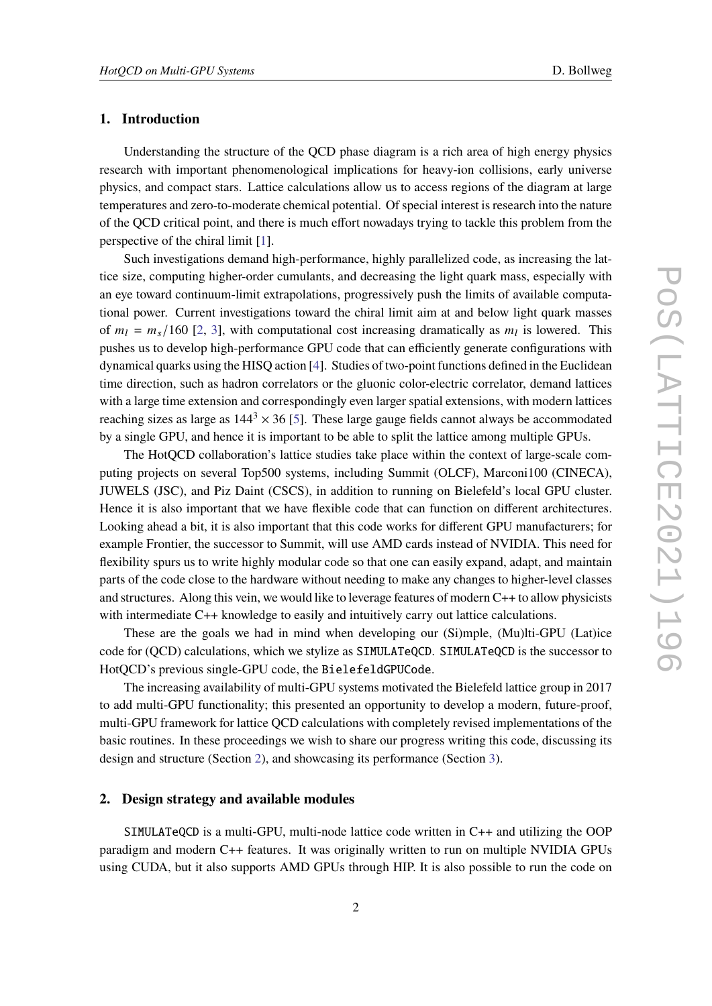### <span id="page-1-1"></span>**1. Introduction**

Understanding the structure of the QCD phase diagram is a rich area of high energy physics research with important phenomenological implications for heavy-ion collisions, early universe physics, and compact stars. Lattice calculations allow us to access regions of the diagram at large temperatures and zero-to-moderate chemical potential. Of special interest is research into the nature of the QCD critical point, and there is much effort nowadays trying to tackle this problem from the perspective of the chiral limit [\[1\]](#page-5-0).

Such investigations demand high-performance, highly parallelized code, as increasing the lattice size, computing higher-order cumulants, and decreasing the light quark mass, especially with an eye toward continuum-limit extrapolations, progressively push the limits of available computational power. Current investigations toward the chiral limit aim at and below light quark masses of  $m_l = m_s/160$  [\[2,](#page-5-1) [3\]](#page-6-0), with computational cost increasing dramatically as  $m_l$  is lowered. This pushes us to develop high-performance GPU code that can efficiently generate configurations with dynamical quarks using the HISQ action [\[4\]](#page-6-1). Studies of two-point functions defined in the Euclidean time direction, such as hadron correlators or the gluonic color-electric correlator, demand lattices with a large time extension and correspondingly even larger spatial extensions, with modern lattices reaching sizes as large as  $144<sup>3</sup> \times 36$  [\[5\]](#page-6-2). These large gauge fields cannot always be accommodated by a single GPU, and hence it is important to be able to split the lattice among multiple GPUs.

The HotQCD collaboration's lattice studies take place within the context of large-scale computing projects on several Top500 systems, including Summit (OLCF), Marconi100 (CINECA), JUWELS (JSC), and Piz Daint (CSCS), in addition to running on Bielefeld's local GPU cluster. Hence it is also important that we have flexible code that can function on different architectures. Looking ahead a bit, it is also important that this code works for different GPU manufacturers; for example Frontier, the successor to Summit, will use AMD cards instead of NVIDIA. This need for flexibility spurs us to write highly modular code so that one can easily expand, adapt, and maintain parts of the code close to the hardware without needing to make any changes to higher-level classes and structures. Along this vein, we would like to leverage features of modern C++ to allow physicists with intermediate C++ knowledge to easily and intuitively carry out lattice calculations.

These are the goals we had in mind when developing our (Si)mple, (Mu)lti-GPU (Lat)ice code for (QCD) calculations, which we stylize as SIMULATeQCD. SIMULATeQCD is the successor to HotQCD's previous single-GPU code, the BielefeldGPUCode.

The increasing availability of multi-GPU systems motivated the Bielefeld lattice group in 2017 to add multi-GPU functionality; this presented an opportunity to develop a modern, future-proof, multi-GPU framework for lattice QCD calculations with completely revised implementations of the basic routines. In these proceedings we wish to share our progress writing this code, discussing its design and structure (Section [2\)](#page-1-0), and showcasing its performance (Section [3\)](#page-4-0).

#### <span id="page-1-0"></span>**2. Design strategy and available modules**

SIMULATeQCD is a multi-GPU, multi-node lattice code written in C++ and utilizing the OOP paradigm and modern C++ features. It was originally written to run on multiple NVIDIA GPUs using CUDA, but it also supports AMD GPUs through HIP. It is also possible to run the code on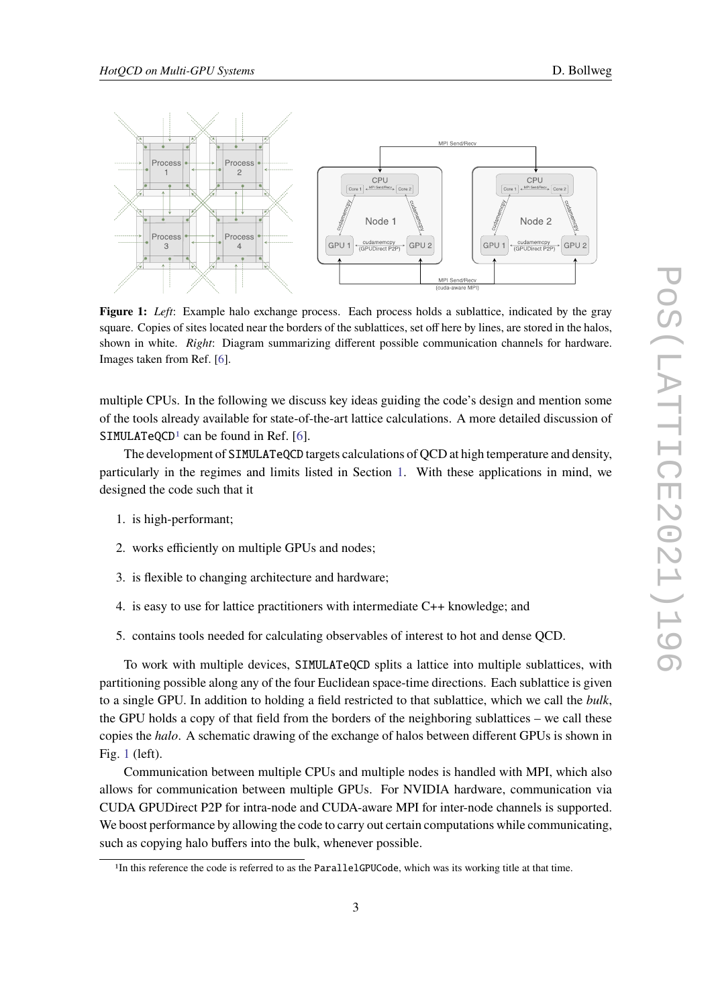<span id="page-2-1"></span>

**Figure 1:** *Left*: Example halo exchange process. Each process holds a sublattice, indicated by the gray square. Copies of sites located near the borders of the sublattices, set off here by lines, are stored in the halos, shown in white. *Right*: Diagram summarizing different possible communication channels for hardware. Images taken from Ref. [\[6\]](#page-6-3).

multiple CPUs. In the following we discuss key ideas guiding the code's design and mention some of the tools already available for state-of-the-art lattice calculations. A more detailed discussion of SIMULATeQCD<sup>[1](#page-2-0)</sup> can be found in Ref. [\[6\]](#page-6-3).

The development of SIMULATeQCD targets calculations of QCD at high temperature and density, particularly in the regimes and limits listed in Section [1.](#page-1-1) With these applications in mind, we designed the code such that it

- 1. is high-performant;
- 2. works efficiently on multiple GPUs and nodes;
- 3. is flexible to changing architecture and hardware;
- 4. is easy to use for lattice practitioners with intermediate C++ knowledge; and
- 5. contains tools needed for calculating observables of interest to hot and dense QCD.

To work with multiple devices, SIMULATeQCD splits a lattice into multiple sublattices, with partitioning possible along any of the four Euclidean space-time directions. Each sublattice is given to a single GPU. In addition to holding a field restricted to that sublattice, which we call the *bulk*, the GPU holds a copy of that field from the borders of the neighboring sublattices – we call these copies the *halo*. A schematic drawing of the exchange of halos between different GPUs is shown in Fig. [1](#page-2-1) (left).

Communication between multiple CPUs and multiple nodes is handled with MPI, which also allows for communication between multiple GPUs. For NVIDIA hardware, communication via CUDA GPUDirect P2P for intra-node and CUDA-aware MPI for inter-node channels is supported. We boost performance by allowing the code to carry out certain computations while communicating, such as copying halo buffers into the bulk, whenever possible.

<span id="page-2-0"></span><sup>&</sup>lt;sup>1</sup>In this reference the code is referred to as the ParallelGPUCode, which was its working title at that time.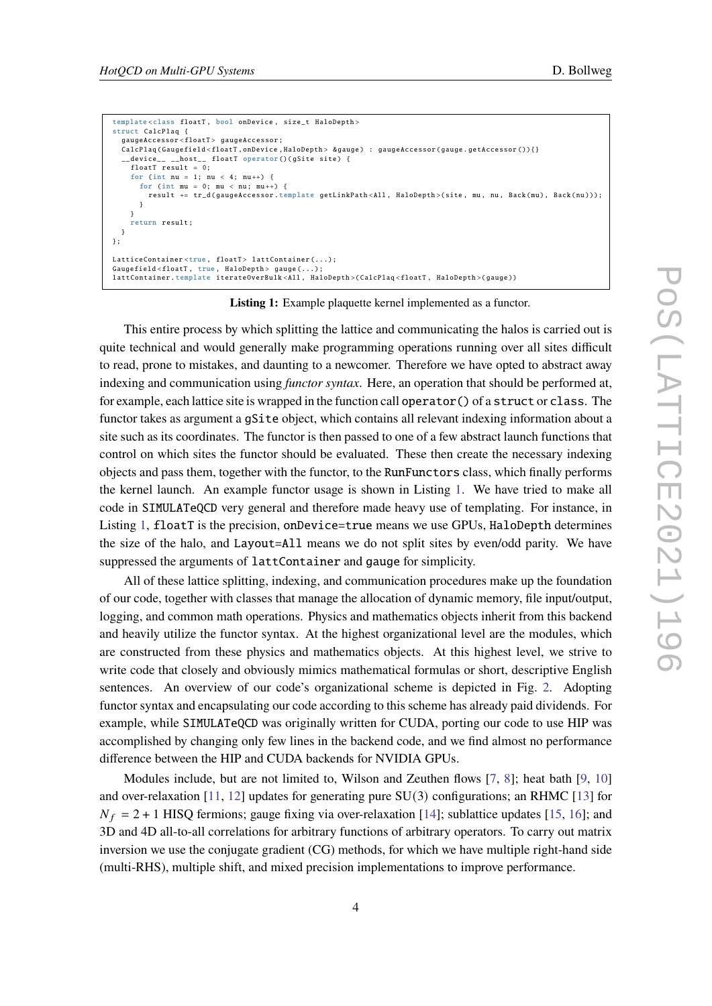```
template < class floatT , bool onDevice , size_t HaloDepth >
struct CalcPlaq {
  gaugeAccessor < floatT > gaugeAccessor ;
  CalcPlaq ( Gaugefield < floatT , onDevice , HaloDepth > & gauge ) : gaugeAccessor ( gauge . getAccessor ()){}
  __device__ __host__ floatT operator ()( gSite site ) {
    floatT result = 0;for (int nu = 1; nu < 4; nu++) {
      for (int mu = 0; mu < nu; mu++) {
        result += tr_d( gaugeAccessor template getLinkPath<All, HaloDepth >(site, mu, nu, Back (mu), Back (nu)));
      }
    }
    return result ;
 }
};
LatticeContainer<true floatT> lattContainer( );
Gaugefield<floatT, true, HaloDepth> gauge(...);
lattContainer . template iterateOverBulk < All , HaloDepth >( CalcPlaq < floatT , HaloDepth >( gauge ))
```
**Listing 1:** Example plaquette kernel implemented as a functor.

This entire process by which splitting the lattice and communicating the halos is carried out is quite technical and would generally make programming operations running over all sites difficult to read, prone to mistakes, and daunting to a newcomer. Therefore we have opted to abstract away indexing and communication using *functor syntax*. Here, an operation that should be performed at, for example, each lattice site is wrapped in the function call operator  $()$  of a struct or class. The functor takes as argument a gSite object, which contains all relevant indexing information about a site such as its coordinates. The functor is then passed to one of a few abstract launch functions that control on which sites the functor should be evaluated. These then create the necessary indexing objects and pass them, together with the functor, to the RunFunctors class, which finally performs the kernel launch. An example functor usage is shown in Listing [1.](#page-3-0) We have tried to make all code in SIMULATeQCD very general and therefore made heavy use of templating. For instance, in Listing [1,](#page-3-0) floatT is the precision, onDevice=true means we use GPUs, HaloDepth determines the size of the halo, and Layout=All means we do not split sites by even/odd parity. We have suppressed the arguments of lattContainer and gauge for simplicity.

All of these lattice splitting, indexing, and communication procedures make up the foundation of our code, together with classes that manage the allocation of dynamic memory, file input/output, logging, and common math operations. Physics and mathematics objects inherit from this backend and heavily utilize the functor syntax. At the highest organizational level are the modules, which are constructed from these physics and mathematics objects. At this highest level, we strive to write code that closely and obviously mimics mathematical formulas or short, descriptive English sentences. An overview of our code's organizational scheme is depicted in Fig. [2.](#page-4-1) Adopting functor syntax and encapsulating our code according to this scheme has already paid dividends. For example, while SIMULATeQCD was originally written for CUDA, porting our code to use HIP was accomplished by changing only few lines in the backend code, and we find almost no performance difference between the HIP and CUDA backends for NVIDIA GPUs.

Modules include, but are not limited to, Wilson and Zeuthen flows [\[7,](#page-6-4) [8\]](#page-6-5); heat bath [\[9,](#page-6-6) [10\]](#page-6-7) and over-relaxation [\[11,](#page-6-8) [12\]](#page-6-9) updates for generating pure SU(3) configurations; an RHMC [\[13\]](#page-6-10) for  $N_f = 2 + 1$  HISQ fermions; gauge fixing via over-relaxation [\[14\]](#page-6-11); sublattice updates [\[15,](#page-6-12) [16\]](#page-6-13); and 3D and 4D all-to-all correlations for arbitrary functions of arbitrary operators. To carry out matrix inversion we use the conjugate gradient (CG) methods, for which we have multiple right-hand side (multi-RHS), multiple shift, and mixed precision implementations to improve performance.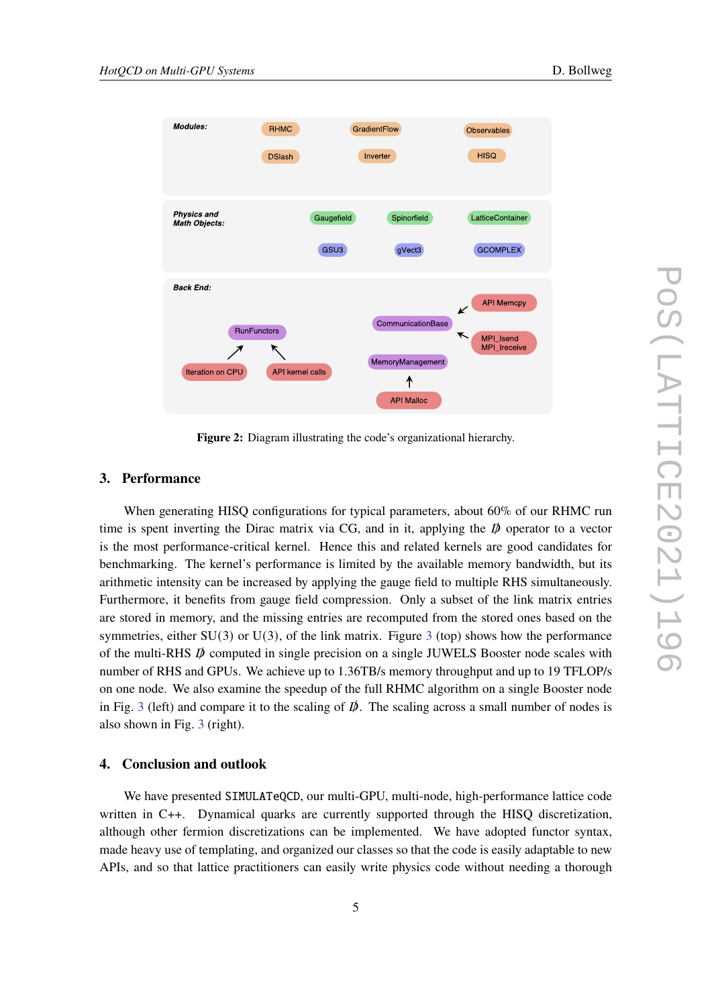

<span id="page-4-1"></span>

**Figure 2:** Diagram illustrating the code's organizational hierarchy.

#### <span id="page-4-0"></span>**3. Performance**

When generating HISQ configurations for typical parameters, about 60% of our RHMC run time is spent inverting the Dirac matrix via CG, and in it, applying the  $\vec{p}$  operator to a vector is the most performance-critical kernel. Hence this and related kernels are good candidates for benchmarking. The kernel's performance is limited by the available memory bandwidth, but its arithmetic intensity can be increased by applying the gauge field to multiple RHS simultaneously. Furthermore, it benefits from gauge field compression. Only a subset of the link matrix entries are stored in memory, and the missing entries are recomputed from the stored ones based on the symmetries, either  $SU(3)$  $SU(3)$  $SU(3)$  or  $U(3)$ , of the link matrix. Figure 3 (top) shows how the performance of the multi-RHS  $\vec{p}$  computed in single precision on a single JUWELS Booster node scales with number of RHS and GPUs. We achieve up to 1.36TB/s memory throughput and up to 19 TFLOP/s on one node. We also examine the speedup of the full RHMC algorithm on a single Booster node in Fig. [3](#page-5-2) (left) and compare it to the scaling of  $\vec{p}$ . The scaling across a small number of nodes is also shown in Fig. [3](#page-5-2) (right).

#### **4. Conclusion and outlook**

We have presented SIMULATeQCD, our multi-GPU, multi-node, high-performance lattice code written in C++. Dynamical quarks are currently supported through the HISQ discretization, although other fermion discretizations can be implemented. We have adopted functor syntax, made heavy use of templating, and organized our classes so that the code is easily adaptable to new APIs, and so that lattice practitioners can easily write physics code without needing a thorough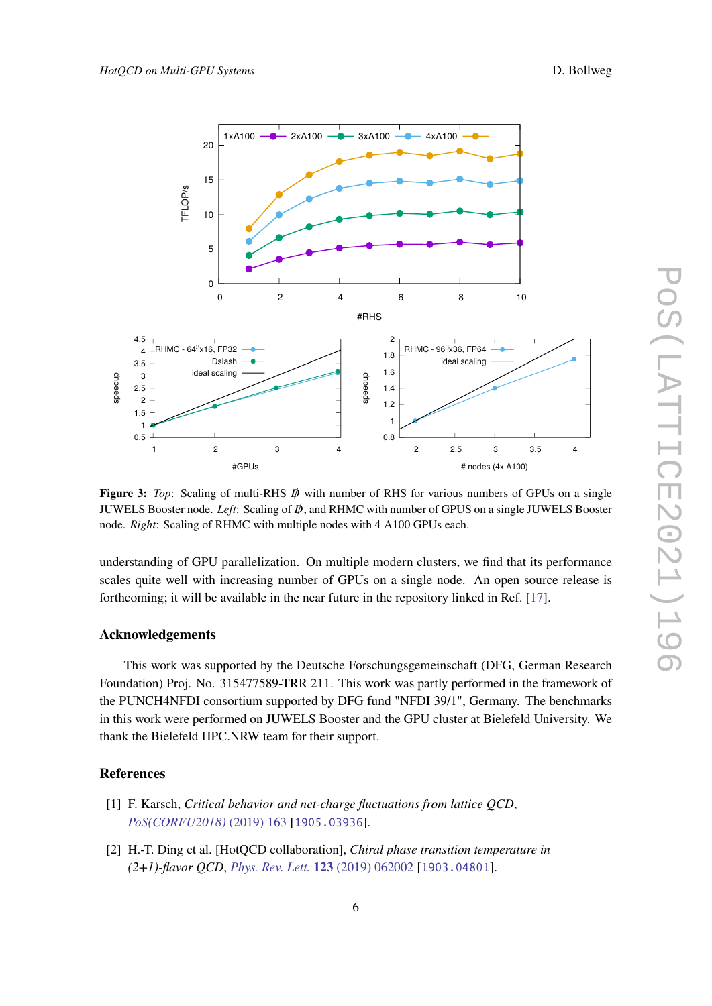<span id="page-5-2"></span>

**Figure 3:** *Top*: Scaling of multi-RHS  $\bar{D}$  with number of RHS for various numbers of GPUs on a single JUWELS Booster node. *Left*: Scaling of /, and RHMC with number of GPUS on a single JUWELS Booster node. *Right*: Scaling of RHMC with multiple nodes with 4 A100 GPUs each.

understanding of GPU parallelization. On multiple modern clusters, we find that its performance scales quite well with increasing number of GPUs on a single node. An open source release is forthcoming; it will be available in the near future in the repository linked in Ref. [\[17\]](#page-6-14).

## **Acknowledgements**

This work was supported by the Deutsche Forschungsgemeinschaft (DFG, German Research Foundation) Proj. No. 315477589-TRR 211. This work was partly performed in the framework of the PUNCH4NFDI consortium supported by DFG fund "NFDI 39/1", Germany. The benchmarks in this work were performed on JUWELS Booster and the GPU cluster at Bielefeld University. We thank the Bielefeld HPC.NRW team for their support.

#### **References**

- <span id="page-5-0"></span>[1] F. Karsch, *Critical behavior and net-charge fluctuations from lattice QCD*, *[PoS\(CORFU2018\)](https://doi.org/10.22323/1.347.0163)* (2019) 163 [[1905.03936](https://arxiv.org/abs/1905.03936)].
- <span id="page-5-1"></span>[2] H.-T. Ding et al. [HotQCD collaboration], *Chiral phase transition temperature in (2+1)-flavor QCD*, *[Phys. Rev. Lett.](https://doi.org/10.1103/PhysRevLett.123.062002)* **123** (2019) 062002 [[1903.04801](https://arxiv.org/abs/1903.04801)].